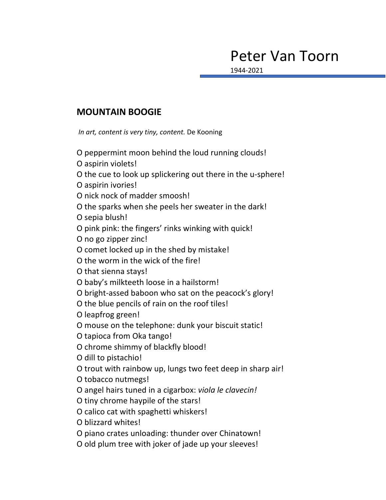## Peter Van Toorn

1944-2021

## **MOUNTAIN BOOGIE**

*In art, content is very tiny, content.* De Kooning

O peppermint moon behind the loud running clouds!

O aspirin violets!

O the cue to look up splickering out there in the u-sphere!

O aspirin ivories!

O nick nock of madder smoosh!

O the sparks when she peels her sweater in the dark!

O sepia blush!

O pink pink: the fingers' rinks winking with quick!

O no go zipper zinc!

O comet locked up in the shed by mistake!

O the worm in the wick of the fire!

O that sienna stays!

O baby's milkteeth loose in a hailstorm!

O bright-assed baboon who sat on the peacock's glory!

O the blue pencils of rain on the roof tiles!

O leapfrog green!

O mouse on the telephone: dunk your biscuit static!

O tapioca from Oka tango!

O chrome shimmy of blackfly blood!

O dill to pistachio!

O trout with rainbow up, lungs two feet deep in sharp air!

O tobacco nutmegs!

O angel hairs tuned in a cigarbox: *viola le clavecin!*

O tiny chrome haypile of the stars!

O calico cat with spaghetti whiskers!

O blizzard whites!

O piano crates unloading: thunder over Chinatown!

O old plum tree with joker of jade up your sleeves!